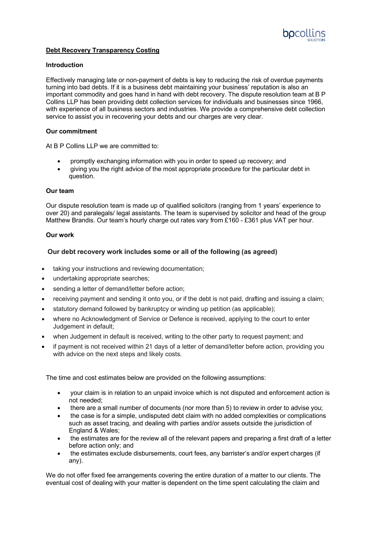

# **Debt Recovery Transparency Costing**

### **Introduction**

Effectively managing late or non-payment of debts is key to reducing the risk of overdue payments turning into bad debts. If it is a business debt maintaining your business' reputation is also an important commodity and goes hand in hand with debt recovery. The dispute resolution team at B P Collins LLP has been providing debt collection services for individuals and businesses since 1966, with experience of all business sectors and industries. We provide a comprehensive debt collection service to assist you in recovering your debts and our charges are very clear.

### **Our commitment**

At B P Collins LLP we are committed to:

- promptly exchanging information with you in order to speed up recovery; and
- giving you the right advice of the most appropriate procedure for the particular debt in question.

#### **Our team**

Our dispute resolution team is made up of qualified solicitors (ranging from 1 years' experience to over 20) and paralegals/ legal assistants. The team is supervised by solicitor and head of the group Matthew Brandis. Our team's hourly charge out rates vary from £160 - £361 plus VAT per hour.

#### **Our work**

### **Our debt recovery work includes some or all of the following (as agreed)**

- taking your instructions and reviewing documentation;
- undertaking appropriate searches;
- sending a letter of demand/letter before action:
- receiving payment and sending it onto you, or if the debt is not paid, drafting and issuing a claim;
- statutory demand followed by bankruptcy or winding up petition (as applicable);
- where no Acknowledgment of Service or Defence is received, applying to the court to enter Judgement in default;
- when Judgement in default is received, writing to the other party to request payment; and
- if payment is not received within 21 days of a letter of demand/letter before action, providing you with advice on the next steps and likely costs.

The time and cost estimates below are provided on the following assumptions:

- your claim is in relation to an unpaid invoice which is not disputed and enforcement action is not needed;
- there are a small number of documents (nor more than 5) to review in order to advise you;
- the case is for a simple, undisputed debt claim with no added complexities or complications such as asset tracing, and dealing with parties and/or assets outside the jurisdiction of England & Wales;
- the estimates are for the review all of the relevant papers and preparing a first draft of a letter before action only; and
- the estimates exclude disbursements, court fees, any barrister's and/or expert charges (if any).

We do not offer fixed fee arrangements covering the entire duration of a matter to our clients. The eventual cost of dealing with your matter is dependent on the time spent calculating the claim and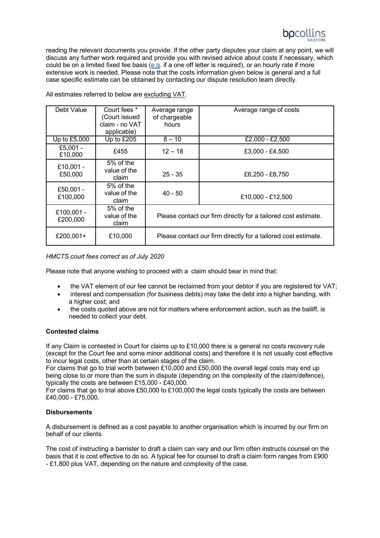

reading the relevant documents you provide. If the other party disputes your claim at any point, we will discuss any further work required and provide you with revised advice about costs if necessary, which could be on a limited fixed fee basis [\(e.g. i](http://e.g/?ce_b4=R2luYS5Db25uZWxsQGJwY29sbGlucy5jby51aw%3d%3d&utm_medium=email&utm_source=outlook)f a one off letter is required), or an hourly rate if more extensive work is needed. Please note that the costs information given below is general and a full case specific estimate can be obtained by contacting our dispute resolution team directly.

| Debt Value             | Court fees *                         | Average range                                                  | Average range of costs |
|------------------------|--------------------------------------|----------------------------------------------------------------|------------------------|
|                        | (Court issued                        | of chargeable                                                  |                        |
|                        | claim - no VAT                       | hours                                                          |                        |
|                        | applicable)                          |                                                                |                        |
| Up to £5,000           | Up to £205                           | $8 - 10$                                                       | £2,000 - £2,500        |
| £5,001 -<br>£10,000    | £455                                 | $12 - 18$                                                      | £3,000 - £4,500        |
| £10,001 -<br>£50,000   | $5%$ of the<br>value of the<br>claim | $25 - 35$                                                      | £6,250 - £8,750        |
| £50,001 -<br>£100,000  | 5% of the<br>value of the<br>claim   | $40 - 50$                                                      | £10,000 - £12,500      |
| £100,001 -<br>£200,000 | 5% of the<br>value of the<br>claim   | Please contact our firm directly for a tailored cost estimate. |                        |
| £200,001+              | £10,000                              | Please contact our firm directly for a tailored cost estimate. |                        |

All estimates referred to below are excluding VAT.

*HMCTS court fees correct as of July 2020*

Please note that anyone wishing to proceed with a claim should bear in mind that:

- the VAT element of our fee cannot be reclaimed from your debtor if you are registered for VAT;
- interest and compensation (for business debts) may take the debt into a higher banding, with a higher cost; and
- the costs quoted above are not for matters where enforcement action, such as the bailiff, is needed to collect your debt.

### **Contested claims**

If any Claim is contested in Court for claims up to £10,000 there is a general no costs recovery rule (except for the Court fee and some minor additional costs) and therefore it is not usually cost effective to incur legal costs, other than at certain stages of the claim.

For claims that go to trial worth between £10,000 and £50,000 the overall legal costs may end up being close to or more than the sum in dispute (depending on the complexity of the claim/defence), typically the costs are between £15,000 - £40,000.

For claims that go to trial above £50,000 to £100,000 the legal costs typically the costs are between £40,000 - £75,000.

### **Disbursements**

A disbursement is defined as a cost payable to another organisation which is incurred by our firm on behalf of our clients.

The cost of instructing a barrister to draft a claim can vary and our firm often instructs counsel on the basis that it is cost effective to do so. A typical fee for counsel to draft a claim form ranges from £900 - £1,800 plus VAT, depending on the nature and complexity of the case.